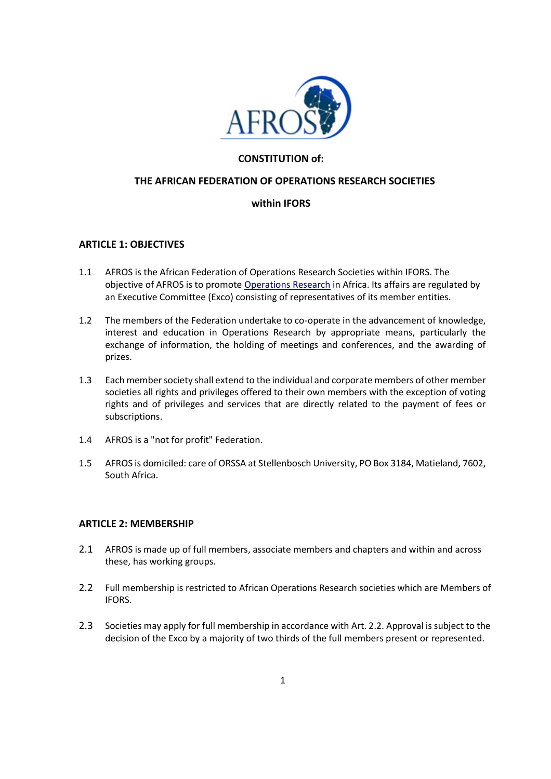

# **CONSTITUTION of:**

## **THE AFRICAN FEDERATION OF OPERATIONS RESEARCH SOCIETIES**

# **within IFORS**

### **ARTICLE 1: OBJECTIVES**

- 1.1 AFROS is the African Federation of Operations Research Societies within IFORS. The objective of AFROS is to promote [Operations Research](http://www.euro-online.org/display.php?page=what_or) [in](http://www.euro-online.org/display.php?page=what_or) Africa. Its affairs are regulated by an Executive Committee (Exco) consisting of representatives of its member entities.
- 1.2 The members of the Federation undertake to co-operate in the advancement of knowledge, interest and education in Operations Research by appropriate means, particularly the exchange of information, the holding of meetings and conferences, and the awarding of prizes.
- 1.3 Each member society shall extend to the individual and corporate members of other member societies all rights and privileges offered to their own members with the exception of voting rights and of privileges and services that are directly related to the payment of fees or subscriptions.
- 1.4 AFROS is a "not for profit" Federation.
- 1.5 AFROS is domiciled: care of ORSSA at Stellenbosch University, PO Box 3184, Matieland, 7602, South Africa.

### **ARTICLE 2: MEMBERSHIP**

- 2.1 AFROS is made up of full members, associate members and chapters and within and across these, has working groups.
- 2.2 Full membership is restricted to African Operations Research societies which are Members of IFORS.
- 2.3 Societies may apply for full membership in accordance with Art. 2.2. Approval is subject to the decision of the Exco by a majority of two thirds of the full members present or represented.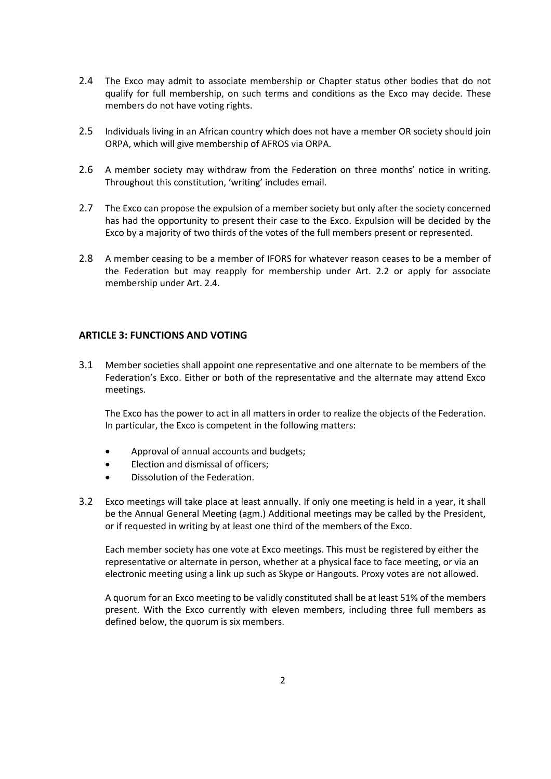- 2.4 The Exco may admit to associate membership or Chapter status other bodies that do not qualify for full membership, on such terms and conditions as the Exco may decide. These members do not have voting rights.
- 2.5 Individuals living in an African country which does not have a member OR society should join ORPA, which will give membership of AFROS via ORPA.
- 2.6 A member society may withdraw from the Federation on three months' notice in writing. Throughout this constitution, 'writing' includes email.
- 2.7 The Exco can propose the expulsion of a member society but only after the society concerned has had the opportunity to present their case to the Exco. Expulsion will be decided by the Exco by a majority of two thirds of the votes of the full members present or represented.
- 2.8 A member ceasing to be a member of IFORS for whatever reason ceases to be a member of the Federation but may reapply for membership under Art. 2.2 or apply for associate membership under Art. 2.4.

### **ARTICLE 3: FUNCTIONS AND VOTING**

3.1 Member societies shall appoint one representative and one alternate to be members of the Federation's Exco. Either or both of the representative and the alternate may attend Exco meetings.

The Exco has the power to act in all matters in order to realize the objects of the Federation. In particular, the Exco is competent in the following matters:

- Approval of annual accounts and budgets;
- Election and dismissal of officers;
- Dissolution of the Federation.
- 3.2 Exco meetings will take place at least annually. If only one meeting is held in a year, it shall be the Annual General Meeting (agm.) Additional meetings may be called by the President, or if requested in writing by at least one third of the members of the Exco.

Each member society has one vote at Exco meetings. This must be registered by either the representative or alternate in person, whether at a physical face to face meeting, or via an electronic meeting using a link up such as Skype or Hangouts. Proxy votes are not allowed.

A quorum for an Exco meeting to be validly constituted shall be at least 51% of the members present. With the Exco currently with eleven members, including three full members as defined below, the quorum is six members.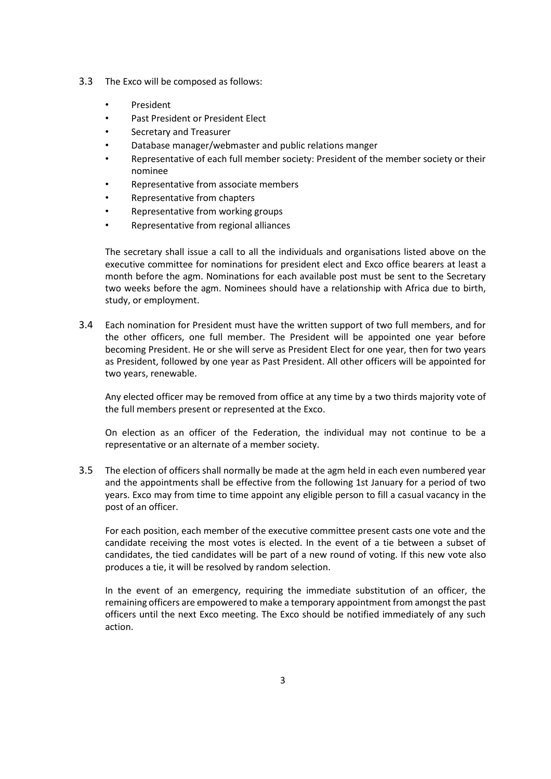- 3.3 The Exco will be composed as follows:
	- **President**
	- Past President or President Elect
	- Secretary and Treasurer
	- Database manager/webmaster and public relations manger
	- Representative of each full member society: President of the member society or their nominee
	- Representative from associate members
	- Representative from chapters
	- Representative from working groups
	- Representative from regional alliances

The secretary shall issue a call to all the individuals and organisations listed above on the executive committee for nominations for president elect and Exco office bearers at least a month before the agm. Nominations for each available post must be sent to the Secretary two weeks before the agm. Nominees should have a relationship with Africa due to birth, study, or employment.

3.4 Each nomination for President must have the written support of two full members, and for the other officers, one full member. The President will be appointed one year before becoming President. He or she will serve as President Elect for one year, then for two years as President, followed by one year as Past President. All other officers will be appointed for two years, renewable.

Any elected officer may be removed from office at any time by a two thirds majority vote of the full members present or represented at the Exco.

On election as an officer of the Federation, the individual may not continue to be a representative or an alternate of a member society.

3.5 The election of officers shall normally be made at the agm held in each even numbered year and the appointments shall be effective from the following 1st January for a period of two years. Exco may from time to time appoint any eligible person to fill a casual vacancy in the post of an officer.

For each position, each member of the executive committee present casts one vote and the candidate receiving the most votes is elected. In the event of a tie between a subset of candidates, the tied candidates will be part of a new round of voting. If this new vote also produces a tie, it will be resolved by random selection.

In the event of an emergency, requiring the immediate substitution of an officer, the remaining officers are empowered to make a temporary appointment from amongst the past officers until the next Exco meeting. The Exco should be notified immediately of any such action.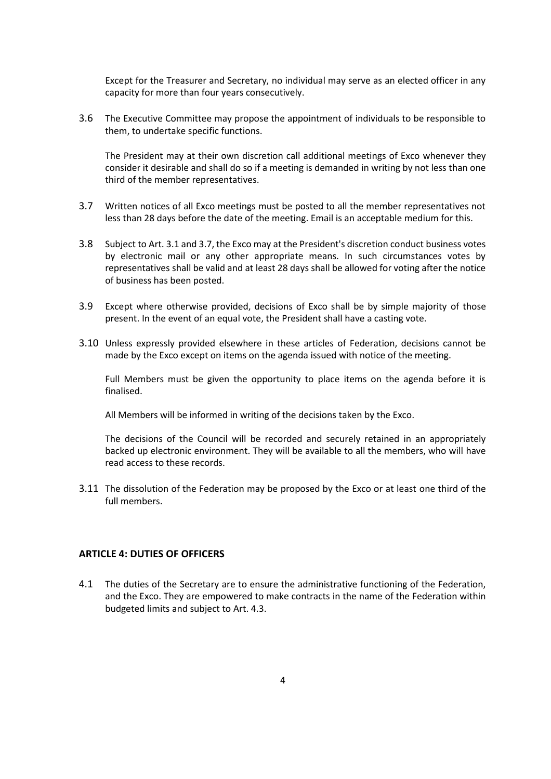Except for the Treasurer and Secretary, no individual may serve as an elected officer in any capacity for more than four years consecutively.

3.6 The Executive Committee may propose the appointment of individuals to be responsible to them, to undertake specific functions.

The President may at their own discretion call additional meetings of Exco whenever they consider it desirable and shall do so if a meeting is demanded in writing by not less than one third of the member representatives.

- 3.7 Written notices of all Exco meetings must be posted to all the member representatives not less than 28 days before the date of the meeting. Email is an acceptable medium for this.
- 3.8 Subject to Art. 3.1 and 3.7, the Exco may at the President's discretion conduct business votes by electronic mail or any other appropriate means. In such circumstances votes by representatives shall be valid and at least 28 days shall be allowed for voting after the notice of business has been posted.
- 3.9 Except where otherwise provided, decisions of Exco shall be by simple majority of those present. In the event of an equal vote, the President shall have a casting vote.
- 3.10 Unless expressly provided elsewhere in these articles of Federation, decisions cannot be made by the Exco except on items on the agenda issued with notice of the meeting.

Full Members must be given the opportunity to place items on the agenda before it is finalised.

All Members will be informed in writing of the decisions taken by the Exco.

The decisions of the Council will be recorded and securely retained in an appropriately backed up electronic environment. They will be available to all the members, who will have read access to these records.

3.11 The dissolution of the Federation may be proposed by the Exco or at least one third of the full members.

### **ARTICLE 4: DUTIES OF OFFICERS**

4.1 The duties of the Secretary are to ensure the administrative functioning of the Federation, and the Exco. They are empowered to make contracts in the name of the Federation within budgeted limits and subject to Art. 4.3.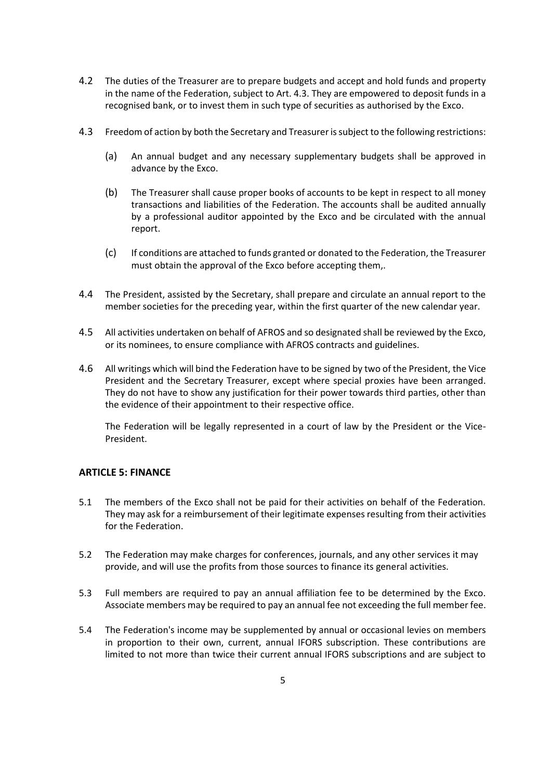- 4.2 The duties of the Treasurer are to prepare budgets and accept and hold funds and property in the name of the Federation, subject to Art. 4.3. They are empowered to deposit funds in a recognised bank, or to invest them in such type of securities as authorised by the Exco.
- 4.3 Freedom of action by both the Secretary and Treasurer is subject to the following restrictions:
	- (a) An annual budget and any necessary supplementary budgets shall be approved in advance by the Exco.
	- (b) The Treasurer shall cause proper books of accounts to be kept in respect to all money transactions and liabilities of the Federation. The accounts shall be audited annually by a professional auditor appointed by the Exco and be circulated with the annual report.
	- (c) If conditions are attached to funds granted or donated to the Federation, the Treasurer must obtain the approval of the Exco before accepting them,.
- 4.4 The President, assisted by the Secretary, shall prepare and circulate an annual report to the member societies for the preceding year, within the first quarter of the new calendar year.
- 4.5 All activities undertaken on behalf of AFROS and so designated shall be reviewed by the Exco, or its nominees, to ensure compliance with AFROS contracts and guidelines.
- 4.6 All writings which will bind the Federation have to be signed by two of the President, the Vice President and the Secretary Treasurer, except where special proxies have been arranged. They do not have to show any justification for their power towards third parties, other than the evidence of their appointment to their respective office.

The Federation will be legally represented in a court of law by the President or the Vice-President.

### **ARTICLE 5: FINANCE**

- 5.1 The members of the Exco shall not be paid for their activities on behalf of the Federation. They may ask for a reimbursement of their legitimate expenses resulting from their activities for the Federation.
- 5.2 The Federation may make charges for conferences, journals, and any other services it may provide, and will use the profits from those sources to finance its general activities.
- 5.3 Full members are required to pay an annual affiliation fee to be determined by the Exco. Associate members may be required to pay an annual fee not exceeding the full member fee.
- 5.4 The Federation's income may be supplemented by annual or occasional levies on members in proportion to their own, current, annual IFORS subscription. These contributions are limited to not more than twice their current annual IFORS subscriptions and are subject to